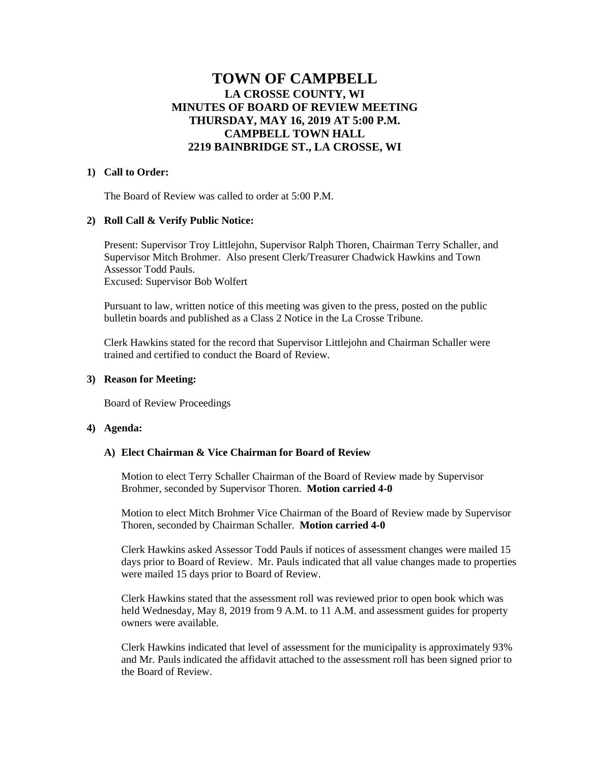# **TOWN OF CAMPBELL LA CROSSE COUNTY, WI MINUTES OF BOARD OF REVIEW MEETING THURSDAY, MAY 16, 2019 AT 5:00 P.M. CAMPBELL TOWN HALL 2219 BAINBRIDGE ST., LA CROSSE, WI**

## **1) Call to Order:**

The Board of Review was called to order at 5:00 P.M.

## **2) Roll Call & Verify Public Notice:**

Present: Supervisor Troy Littlejohn, Supervisor Ralph Thoren, Chairman Terry Schaller, and Supervisor Mitch Brohmer. Also present Clerk/Treasurer Chadwick Hawkins and Town Assessor Todd Pauls. Excused: Supervisor Bob Wolfert

Pursuant to law, written notice of this meeting was given to the press, posted on the public bulletin boards and published as a Class 2 Notice in the La Crosse Tribune.

Clerk Hawkins stated for the record that Supervisor Littlejohn and Chairman Schaller were trained and certified to conduct the Board of Review.

#### **3) Reason for Meeting:**

Board of Review Proceedings

#### **4) Agenda:**

#### **A) Elect Chairman & Vice Chairman for Board of Review**

Motion to elect Terry Schaller Chairman of the Board of Review made by Supervisor Brohmer, seconded by Supervisor Thoren. **Motion carried 4-0**

Motion to elect Mitch Brohmer Vice Chairman of the Board of Review made by Supervisor Thoren, seconded by Chairman Schaller. **Motion carried 4-0**

Clerk Hawkins asked Assessor Todd Pauls if notices of assessment changes were mailed 15 days prior to Board of Review. Mr. Pauls indicated that all value changes made to properties were mailed 15 days prior to Board of Review.

Clerk Hawkins stated that the assessment roll was reviewed prior to open book which was held Wednesday, May 8, 2019 from 9 A.M. to 11 A.M. and assessment guides for property owners were available.

Clerk Hawkins indicated that level of assessment for the municipality is approximately 93% and Mr. Pauls indicated the affidavit attached to the assessment roll has been signed prior to the Board of Review.